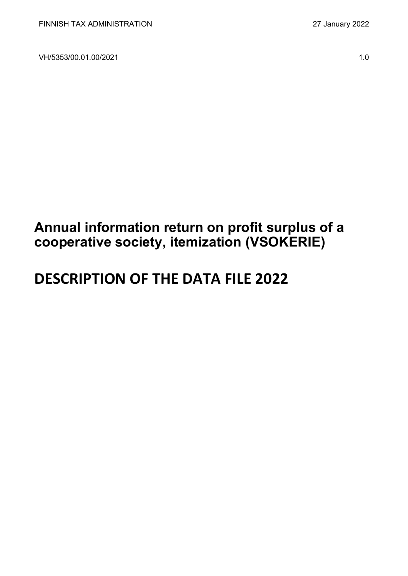VH/5353/00.01.00/2021 1.0

## **Annual information return on profit surplus of a cooperative society, itemization (VSOKERIE)**

# **DESCRIPTION OF THE DATA FILE 2022**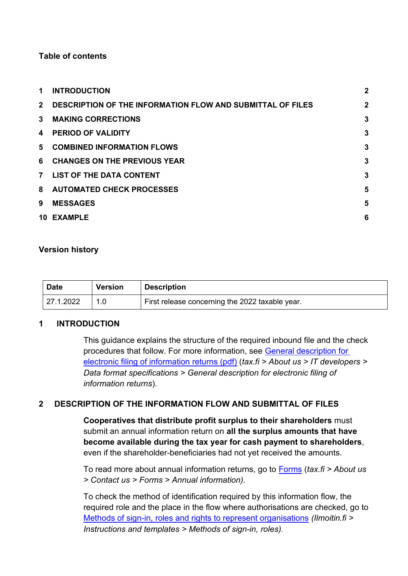#### **Table of contents**

| 1              | <b>INTRODUCTION</b>                                               | $\overline{2}$ |
|----------------|-------------------------------------------------------------------|----------------|
| 2 <sup>1</sup> | <b>DESCRIPTION OF THE INFORMATION FLOW AND SUBMITTAL OF FILES</b> | $\overline{2}$ |
| $\mathbf{3}$   | <b>MAKING CORRECTIONS</b>                                         | 3              |
| 4              | <b>PERIOD OF VALIDITY</b>                                         | 3              |
|                | 5 COMBINED INFORMATION FLOWS                                      | 3              |
| 6              | <b>CHANGES ON THE PREVIOUS YEAR</b>                               | 3              |
| $\overline{7}$ | <b>LIST OF THE DATA CONTENT</b>                                   | 3              |
|                | 8 AUTOMATED CHECK PROCESSES                                       | 5              |
| 9              | <b>MESSAGES</b>                                                   | 5              |
|                | 10 EXAMPLE                                                        | 6              |

#### **Version history**

| <b>Date</b> | <b>Version</b> | <b>Description</b>                              |
|-------------|----------------|-------------------------------------------------|
| 127.1.2022  |                | First release concerning the 2022 taxable year. |

#### <span id="page-1-0"></span>**1 INTRODUCTION**

This guidance explains the structure of the required inbound file and the check procedures that follow. For more information, see [General description for](https://www.vero.fi/globalassets/tietoa-verohallinnosta/ohjelmistokehittajille/finnish-tax-administration_electronic-filing-of-information-returns-general-description.pdf)  [electronic filing of information returns \(pdf\)](https://www.vero.fi/globalassets/tietoa-verohallinnosta/ohjelmistokehittajille/finnish-tax-administration_electronic-filing-of-information-returns-general-description.pdf) (*tax.fi > About us > IT developers > Data format specifications > General description for electronic filing of information returns*).

#### <span id="page-1-1"></span>**2 DESCRIPTION OF THE INFORMATION FLOW AND SUBMITTAL OF FILES**

**Cooperatives that distribute profit surplus to their shareholders** must submit an annual information return on **all the surplus amounts that have become available during the tax year for cash payment to shareholders**, even if the shareholder-beneficiaries had not yet received the amounts.

To read more about annual information returns, go to [Forms](https://www.vero.fi/en/About-us/contact-us/forms/) (*tax.fi > About us > Contact us > Forms > Annual information).*

To check the method of identification required by this information flow, the required role and the place in the flow where authorisations are checked, go to [Methods of sign-in, roles and rights to represent organisations](https://www.ilmoitin.fi/webtamo/sivut/IlmoituslajiRoolit?kieli=en&tv=VSOKERIE) *[\(Ilmoitin.fi >](https://www.ilmoitin.fi/webtamo/sivut/IlmoituslajiRoolit?tv=VSY02C)  [Instructions and templates > Methods of sign-in, roles\)](https://www.ilmoitin.fi/webtamo/sivut/IlmoituslajiRoolit?tv=VSY02C).*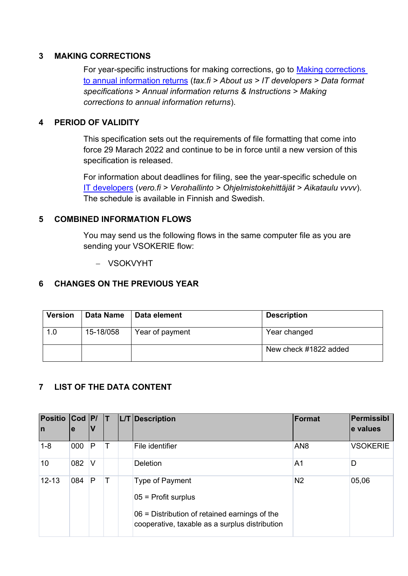#### <span id="page-2-0"></span>**3 MAKING CORRECTIONS**

For year-specific instructions for making corrections, go to [Making corrections](https://www.vero.fi/en/About-us/it_developer/data-format-specifications/annual_information_returns__instruction/making-corrections-to-annual-information-returns/)  [to annual information returns](https://www.vero.fi/en/About-us/it_developer/data-format-specifications/annual_information_returns__instruction/making-corrections-to-annual-information-returns/) (*tax.fi > About us > IT developers > Data format specifications > Annual information returns & Instructions > Making corrections to annual information returns*).

#### <span id="page-2-1"></span>**4 PERIOD OF VALIDITY**

This specification sets out the requirements of file formatting that come into force 29 Marach 2022 and continue to be in force until a new version of this specification is released.

For information about deadlines for filing, see the year-specific schedule on [IT developers](https://www.vero.fi/tietoa-verohallinnosta/kehittaja/) (*vero.fi > Verohallinto > Ohjelmistokehittäjät > Aikataulu vvvv*). The schedule is available in Finnish and Swedish.

#### <span id="page-2-2"></span>**5 COMBINED INFORMATION FLOWS**

You may send us the following flows in the same computer file as you are sending your VSOKERIE flow:

− VSOKVYHT

#### <span id="page-2-3"></span>**6 CHANGES ON THE PREVIOUS YEAR**

| <b>Version</b> | Data Name | Data element    | <b>Description</b>    |
|----------------|-----------|-----------------|-----------------------|
| 1.0            | 15-18/058 | Year of payment | Year changed          |
|                |           |                 | New check #1822 added |

## <span id="page-2-4"></span>**7 LIST OF THE DATA CONTENT**

| <b>Positio</b> | $Cod$ $ P $ |          |   | L/T Description                                                                                   | Format          | Permissibl      |
|----------------|-------------|----------|---|---------------------------------------------------------------------------------------------------|-----------------|-----------------|
| In             | e           | ν        |   |                                                                                                   |                 | e values        |
| $1 - 8$        | 000         | P        |   | File identifier                                                                                   | AN <sub>8</sub> | <b>VSOKERIE</b> |
| 10             | 082         | <b>V</b> |   | <b>Deletion</b>                                                                                   | A <sub>1</sub>  | D               |
| $12 - 13$      | 084         | P        | Т | Type of Payment<br>$05$ = Profit surplus                                                          | N <sub>2</sub>  | 05,06           |
|                |             |          |   | $06$ = Distribution of retained earnings of the<br>cooperative, taxable as a surplus distribution |                 |                 |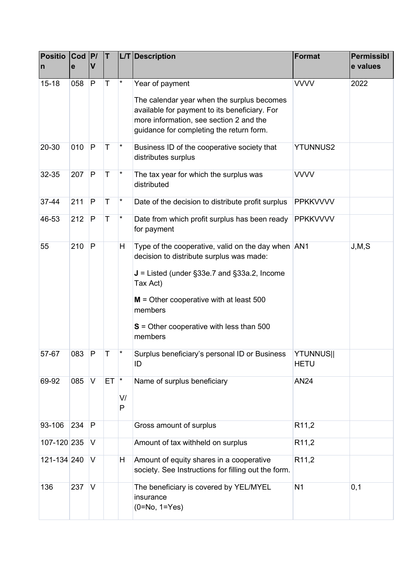| <b>Positio</b><br>$\overline{\mathsf{n}}$ | $\text{Cod}$  P/<br>e | V            | T            |         | L/T Description                                                                                                                                                                                                                                                                                                                     | <b>Format</b>                   | <b>Permissibl</b><br>e values |
|-------------------------------------------|-----------------------|--------------|--------------|---------|-------------------------------------------------------------------------------------------------------------------------------------------------------------------------------------------------------------------------------------------------------------------------------------------------------------------------------------|---------------------------------|-------------------------------|
| $15 - 18$                                 | 058                   | P            | $\mathsf{T}$ |         | Year of payment<br>The calendar year when the surplus becomes<br>available for payment to its beneficiary. For<br>more information, see section 2 and the<br>guidance for completing the return form.                                                                                                                               | <b>VVVV</b>                     | 2022                          |
| 20-30                                     | 010                   | P            | $\mathsf T$  | *       | Business ID of the cooperative society that<br>distributes surplus                                                                                                                                                                                                                                                                  | <b>YTUNNUS2</b>                 |                               |
| 32-35                                     | 207                   | $\mathsf{P}$ | T            | *       | The tax year for which the surplus was<br>distributed                                                                                                                                                                                                                                                                               | <b>VVVV</b>                     |                               |
| 37-44                                     | 211                   | $\mathsf{P}$ | T            | *       | Date of the decision to distribute profit surplus                                                                                                                                                                                                                                                                                   | <b>PPKKVVVV</b>                 |                               |
| 46-53                                     | 212                   | $\mathsf{P}$ | T            | *       | Date from which profit surplus has been ready<br>for payment                                                                                                                                                                                                                                                                        | <b>PPKKVVVV</b>                 |                               |
| 55<br>57-67                               | 210<br>083            | P<br>P       | Т            | H       | Type of the cooperative, valid on the day when AN1<br>decision to distribute surplus was made:<br>$J =$ Listed (under §33e.7 and §33a.2, Income<br>Tax Act)<br>$M =$ Other cooperative with at least 500<br>members<br>$S =$ Other cooperative with less than 500<br>members<br>Surplus beneficiary's personal ID or Business<br>ID | <b>YTUNNUS  </b><br><b>HETU</b> | J, M, S                       |
| 69-92                                     | 085                   | IV.          | $ET$ $*$     | V/<br>P | Name of surplus beneficiary                                                                                                                                                                                                                                                                                                         | <b>AN24</b>                     |                               |
| 93-106                                    | 234                   | P            |              |         | Gross amount of surplus                                                                                                                                                                                                                                                                                                             | R <sub>11,2</sub>               |                               |
| 107-120 235                               |                       | V            |              |         | Amount of tax withheld on surplus                                                                                                                                                                                                                                                                                                   | R <sub>11,2</sub>               |                               |
| 121-134 240                               |                       | <b>V</b>     |              | H       | Amount of equity shares in a cooperative<br>society. See Instructions for filling out the form.                                                                                                                                                                                                                                     | R <sub>11,2</sub>               |                               |
| 136                                       | 237                   | V            |              |         | The beneficiary is covered by YEL/MYEL<br>insurance<br>$(0=No, 1=Yes)$                                                                                                                                                                                                                                                              | N <sub>1</sub>                  | 0,1                           |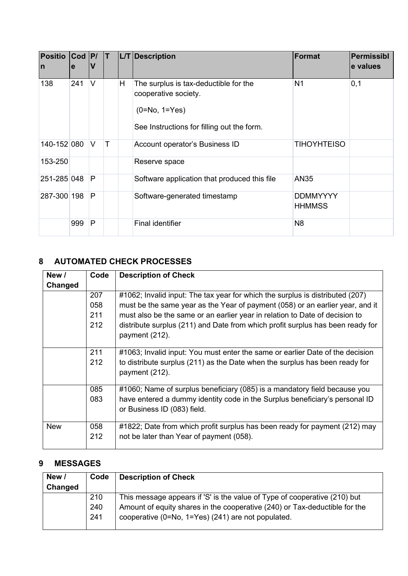| <b>Positio</b><br>$\mathsf{I}$ | $Cod$ $ P $<br>e | V      | IT.    |   | L/T Description                                                                                                                    | <b>Format</b>                    | <b>Permissibl</b><br>e values |
|--------------------------------|------------------|--------|--------|---|------------------------------------------------------------------------------------------------------------------------------------|----------------------------------|-------------------------------|
| 138                            | 241              | V      |        | H | The surplus is tax-deductible for the<br>cooperative society.<br>$(0 = No, 1 = Yes)$<br>See Instructions for filling out the form. | N <sub>1</sub>                   | 0,1                           |
| 140-152 080                    |                  | $\vee$ | $\top$ |   | Account operator's Business ID                                                                                                     | <b>TIHOYHTEISO</b>               |                               |
| 153-250                        |                  |        |        |   | Reserve space                                                                                                                      |                                  |                               |
| 251-285 048                    |                  | P      |        |   | Software application that produced this file                                                                                       | <b>AN35</b>                      |                               |
| 287-300 198                    |                  | P      |        |   | Software-generated timestamp                                                                                                       | <b>DDMMYYYY</b><br><b>HHMMSS</b> |                               |
|                                | 999              | P      |        |   | <b>Final identifier</b>                                                                                                            | N <sub>8</sub>                   |                               |

## <span id="page-4-0"></span>**8 AUTOMATED CHECK PROCESSES**

| New /      | Code | <b>Description of Check</b>                                                    |
|------------|------|--------------------------------------------------------------------------------|
| Changed    |      |                                                                                |
|            | 207  | #1062; Invalid input: The tax year for which the surplus is distributed (207)  |
|            | 058  | must be the same year as the Year of payment (058) or an earlier year, and it  |
|            | 211  | must also be the same or an earlier year in relation to Date of decision to    |
|            | 212  | distribute surplus (211) and Date from which profit surplus has been ready for |
|            |      | payment (212).                                                                 |
|            |      |                                                                                |
|            | 211  | #1063; Invalid input: You must enter the same or earlier Date of the decision  |
|            | 212  | to distribute surplus (211) as the Date when the surplus has been ready for    |
|            |      | payment (212).                                                                 |
|            | 085  | #1060; Name of surplus beneficiary (085) is a mandatory field because you      |
|            | 083  | have entered a dummy identity code in the Surplus beneficiary's personal ID    |
|            |      | or Business ID (083) field.                                                    |
|            |      |                                                                                |
| <b>New</b> | 058  | #1822; Date from which profit surplus has been ready for payment (212) may     |
|            | 212  | not be later than Year of payment (058).                                       |
|            |      |                                                                                |

#### <span id="page-4-1"></span>**9 MESSAGES**

| Code | <b>Description of Check</b>                                                |
|------|----------------------------------------------------------------------------|
|      |                                                                            |
| 210  | This message appears if 'S' is the value of Type of cooperative (210) but  |
| 240  | Amount of equity shares in the cooperative (240) or Tax-deductible for the |
| 241  | cooperative (0=No, 1=Yes) (241) are not populated.                         |
|      |                                                                            |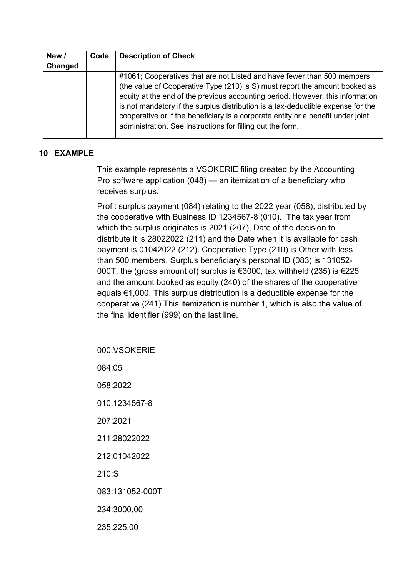| New /   | Code | <b>Description of Check</b>                                                                                                                                                                                                                                                                                                                                                                                                                                                    |
|---------|------|--------------------------------------------------------------------------------------------------------------------------------------------------------------------------------------------------------------------------------------------------------------------------------------------------------------------------------------------------------------------------------------------------------------------------------------------------------------------------------|
| Changed |      |                                                                                                                                                                                                                                                                                                                                                                                                                                                                                |
|         |      | #1061; Cooperatives that are not Listed and have fewer than 500 members<br>(the value of Cooperative Type (210) is S) must report the amount booked as<br>equity at the end of the previous accounting period. However, this information<br>is not mandatory if the surplus distribution is a tax-deductible expense for the<br>cooperative or if the beneficiary is a corporate entity or a benefit under joint<br>administration. See Instructions for filling out the form. |

#### <span id="page-5-0"></span>**10 EXAMPLE**

This example represents a VSOKERIE filing created by the Accounting Pro software application (048) — an itemization of a beneficiary who receives surplus.

Profit surplus payment (084) relating to the 2022 year (058), distributed by the cooperative with Business ID 1234567-8 (010). The tax year from which the surplus originates is 2021 (207), Date of the decision to distribute it is 28022022 (211) and the Date when it is available for cash payment is 01042022 (212). Cooperative Type (210) is Other with less than 500 members, Surplus beneficiary's personal ID (083) is 131052- 000T, the (gross amount of) surplus is €3000, tax withheld (235) is €225 and the amount booked as equity (240) of the shares of the cooperative equals €1,000. This surplus distribution is a deductible expense for the cooperative (241) This itemization is number 1, which is also the value of the final identifier (999) on the last line.

000:VSOKERIE 084:05 058:2022 010:1234567-8 207:2021 211:28022022 212:01042022 210:S 083:131052-000T 234:3000,00 235:225,00